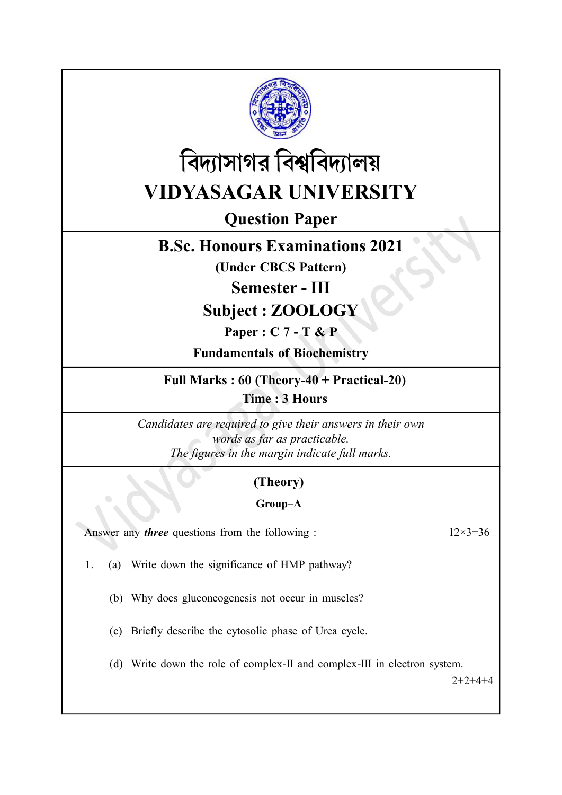



# VIDYASAGAR UNIVERSITY

## Question Paper

## B.Sc. Honours Examinations 2021

(Under CBCS Pattern)

Semester - III

Subject : ZOOLOGY

Paper : C 7 - T & P

Fundamentals of Biochemistry

Full Marks : 60 (Theory-40 + Practical-20) Time : 3 Hours

Candidates are required to give their answers in their own words as far as practicable. The figures in the margin indicate full marks.

### (Theory)

#### Group–A

Answer any *three* questions from the following :  $12 \times 3 = 36$ 

- 1. (a) Write down the significance of HMP pathway?
	- (b) Why does gluconeogenesis not occur in muscles?
	- (c) Briefly describe the cytosolic phase of Urea cycle.
	- (d) Write down the role of complex-II and complex-III in electron system.

 $2+2+4+4$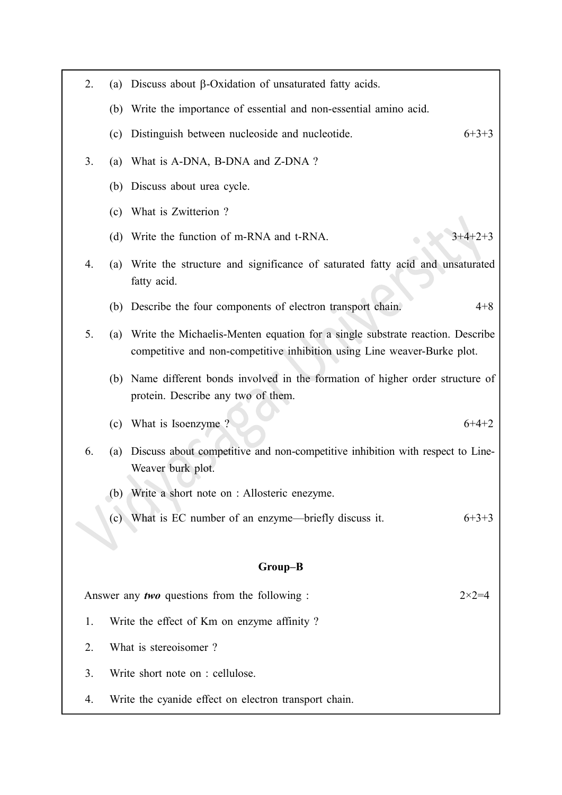| 2.      | (a)                                        | Discuss about $\beta$ -Oxidation of unsaturated fatty acids.                                                                                              |
|---------|--------------------------------------------|-----------------------------------------------------------------------------------------------------------------------------------------------------------|
|         |                                            | (b) Write the importance of essential and non-essential amino acid.                                                                                       |
|         | (c)                                        | Distinguish between nucleoside and nucleotide.<br>$6+3+3$                                                                                                 |
| 3.      | (a)                                        | What is A-DNA, B-DNA and Z-DNA?                                                                                                                           |
|         |                                            | (b) Discuss about urea cycle.                                                                                                                             |
|         | (c)                                        | What is Zwitterion?                                                                                                                                       |
|         | (d)                                        | Write the function of m-RNA and t-RNA.<br>$3+4+2+3$                                                                                                       |
| 4.      | (a)                                        | Write the structure and significance of saturated fatty acid and unsaturated<br>fatty acid.                                                               |
|         | (b)                                        | Describe the four components of electron transport chain.<br>$4 + 8$                                                                                      |
| 5.      | (a)                                        | Write the Michaelis-Menten equation for a single substrate reaction. Describe<br>competitive and non-competitive inhibition using Line weaver-Burke plot. |
|         |                                            | (b) Name different bonds involved in the formation of higher order structure of<br>protein. Describe any two of them.                                     |
|         | (c)                                        | What is Isoenzyme?<br>$6+4+2$                                                                                                                             |
| 6.      | (a)                                        | Discuss about competitive and non-competitive inhibition with respect to Line-<br>Weaver burk plot.                                                       |
|         |                                            | (b) Write a short note on : Allosteric enezyme.                                                                                                           |
|         | (c)                                        | What is EC number of an enzyme—briefly discuss it.<br>$6+3+3$                                                                                             |
|         |                                            |                                                                                                                                                           |
| Group-B |                                            |                                                                                                                                                           |
|         |                                            | Answer any <i>two</i> questions from the following :<br>$2 \times 2 = 4$                                                                                  |
| 1.      | Write the effect of Km on enzyme affinity? |                                                                                                                                                           |
| 2.      | What is stereoisomer?                      |                                                                                                                                                           |
| 3.      |                                            | Write short note on : cellulose.                                                                                                                          |
| 4.      |                                            | Write the cyanide effect on electron transport chain.                                                                                                     |